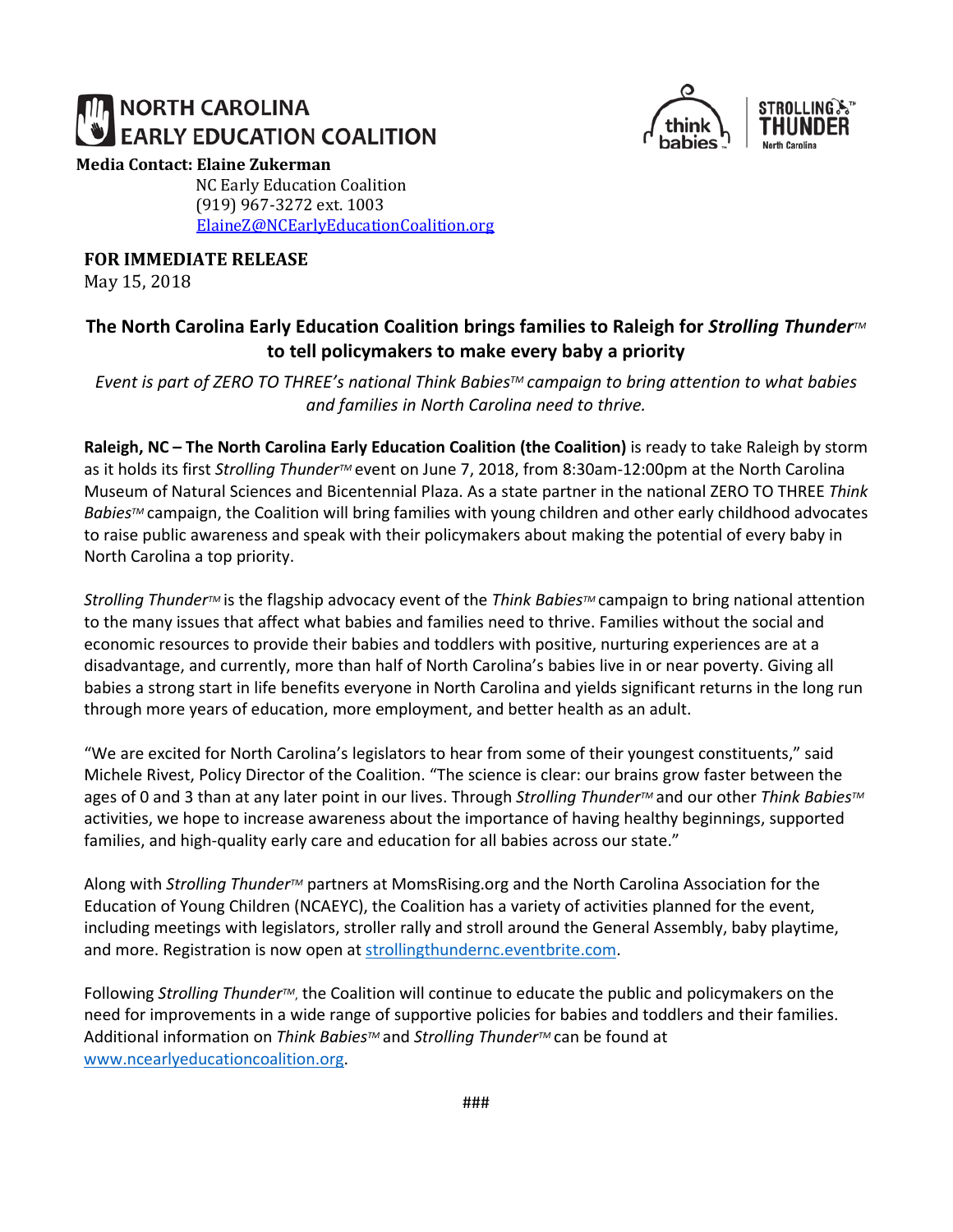# **NORTH CAROLINA EARLY EDUCATION COALITION**



#### **Media Contact: Elaine Zukerman**

NC Early Education Coalition (919) 967-3272 ext. 1003 [ElaineZ@NCEarlyEducationCoalition.org](mailto:ElaineZ@NCEarlyEducationCoalition.org)

**FOR IMMEDIATE RELEASE**

May 15, 2018

## **The North Carolina Early Education Coalition brings families to Raleigh for** *Strolling**Thunder***<sup>™</sup> to tell policymakers to make every baby a priority**

*Event is part of ZERO TO THREE's national Think BabiesTM campaign to bring attention to what babies and families in North Carolina need to thrive.*

**Raleigh, NC – The North Carolina Early Education Coalition (the Coalition)** is ready to take Raleigh by storm as it holds its first *Strolling ThunderTM* event on June 7, 2018, from 8:30am-12:00pm at the North Carolina Museum of Natural Sciences and Bicentennial Plaza. As a state partner in the national ZERO TO THREE *Think Babies™* campaign, the Coalition will bring families with young children and other early childhood advocates to raise public awareness and speak with their policymakers about making the potential of every baby in North Carolina a top priority.

*Strolling ThunderTM* is the flagship advocacy event of the *Think BabiesTM* campaign to bring national attention to the many issues that affect what babies and families need to thrive. Families without the social and economic resources to provide their babies and toddlers with positive, nurturing experiences are at a disadvantage, and currently, more than half of North Carolina's babies live in or near poverty. Giving all babies a strong start in life benefits everyone in North Carolina and yields significant returns in the long run through more years of education, more employment, and better health as an adult.

"We are excited for North Carolina's legislators to hear from some of their youngest constituents," said Michele Rivest, Policy Director of the Coalition. "The science is clear: our brains grow faster between the ages of 0 and 3 than at any later point in our lives. Through *Strolling ThunderTM* and our other *Think BabiesTM* activities, we hope to increase awareness about the importance of having healthy beginnings, supported families, and high-quality early care and education for all babies across our state."

Along with *Strolling ThunderTM* partners at MomsRising.org and the North Carolina Association for the Education of Young Children (NCAEYC), the Coalition has a variety of activities planned for the event, including meetings with legislators, stroller rally and stroll around the General Assembly, baby playtime, and more. Registration is now open at [strollingthundernc.eventbrite.com.](https://www.eventbrite.com/e/strolling-thunder-nc-registration-45346461487)

Following *Strolling ThunderTM*, the Coalition will continue to educate the public and policymakers on the need for improvements in a wide range of supportive policies for babies and toddlers and their families. Additional information on *Think BabiesTM* and *Strolling ThunderTM* can be found at [www.ncearlyeducationcoalition.org.](http://www.ncearlyeducationcoalition.org/)